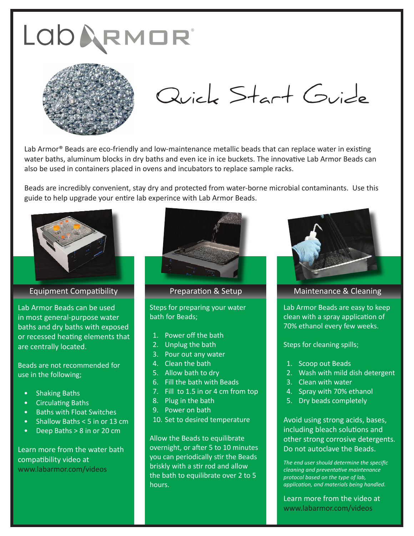

Lab Armor<sup>®</sup> Beads are eco-friendly and low-maintenance metallic beads that can replace water in existing water baths, aluminum blocks in dry baths and even ice in ice buckets. The innovative Lab Armor Beads can also be used in containers placed in ovens and incubators to replace sample racks.

Beads are incredibly convenient, stay dry and protected from water-borne microbial contaminants. Use this guide to help upgrade your entire lab experince with Lab Armor Beads.



Equipment Compatibility

Lab Armor Beads can be used in most general-purpose water baths and dry baths with exposed or recessed heating elements that are centrally located.

Beads are not recommended for use in the following;

- Shaking Baths
- Circulating Baths
- Baths with Float Switches
- Shallow Baths < 5 in or 13 cm
- Deep Baths > 8 in or 20 cm

Learn more from the water bath compatibility video at www.labarmor.com/videos



Steps for preparing your water bath for Beads;

- 1. Power off the bath
- 2. Unplug the bath
- 3. Pour out any water
- 4. Clean the bath
- 5. Allow bath to dry
- 6. Fill the bath with Beads
- 7. Fill to 1.5 in or 4 cm from top
- 8. Plug in the bath
- 9. Power on bath
- 10. Set to desired temperature

Allow the Beads to equilibrate overnight, or after 5 to 10 minutes you can periodically stir the Beads briskly with a stir rod and allow the bath to equilibrate over 2 to 5 hours.



## Preparation & Setup Maintenance & Cleaning

Lab Armor Beads are easy to keep clean with a spray application of 70% ethanol every few weeks.

Steps for cleaning spills;

- 1. Scoop out Beads
- 2. Wash with mild dish detergent
- 3. Clean with water
- 4. Spray with 70% ethanol
- 5. Dry beads completely

Avoid using strong acids, bases, including bleach solutions and other strong corrosive detergents. Do not autoclave the Beads.

*The end user should determine the specific cleaning and preventative maintenance protocol based on the type of lab, application, and materials being handled.*

Learn more from the video at www.labarmor.com/videos